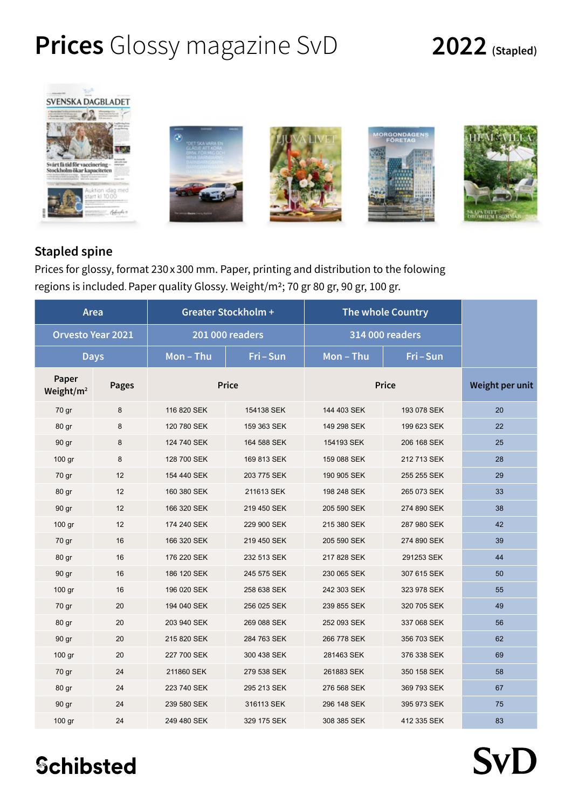# **Prices** Glossy magazine SvD **2022 (Stapled)**

**SvD** 



### **Stapled spine**

Prices for glossy, format 230 x 300 mm. Paper, printing and distribution to the folowing regions is included. Paper quality Glossy. Weight/m2; 70 gr 80 gr, 90 gr, 100 gr.

| Area                           |              | <b>Greater Stockholm +</b> |             | <b>The whole Country</b> |             |                 |
|--------------------------------|--------------|----------------------------|-------------|--------------------------|-------------|-----------------|
| <b>Orvesto Year 2021</b>       |              | <b>201 000 readers</b>     |             | 314 000 readers          |             |                 |
| <b>Days</b>                    |              | Mon-Thu                    | Fri-Sun     | Mon-Thu                  | Fri-Sun     |                 |
| Paper<br>Weight/m <sup>2</sup> | <b>Pages</b> | <b>Price</b>               |             | <b>Price</b>             |             | Weight per unit |
| 70 gr                          | 8            | 116 820 SEK                | 154138 SEK  | 144 403 SEK              | 193 078 SEK | 20              |
| 80 gr                          | 8            | 120 780 SEK                | 159 363 SEK | 149 298 SEK              | 199 623 SEK | 22              |
| 90 gr                          | 8            | 124 740 SEK                | 164 588 SEK | 154193 SEK               | 206 168 SEK | 25              |
| 100 gr                         | 8            | 128 700 SEK                | 169 813 SEK | 159 088 SEK              | 212 713 SEK | 28              |
| 70 gr                          | 12           | 154 440 SEK                | 203 775 SEK | 190 905 SEK              | 255 255 SEK | 29              |
| 80 gr                          | 12           | 160 380 SEK                | 211613 SEK  | 198 248 SEK              | 265 073 SEK | 33              |
| 90 gr                          | 12           | 166 320 SEK                | 219 450 SEK | 205 590 SEK              | 274 890 SEK | 38              |
| 100 gr                         | 12           | 174 240 SEK                | 229 900 SEK | 215 380 SEK              | 287 980 SEK | 42              |
| 70 gr                          | 16           | 166 320 SEK                | 219 450 SEK | 205 590 SEK              | 274 890 SEK | 39              |
| 80 gr                          | 16           | 176 220 SEK                | 232 513 SEK | 217 828 SEK              | 291253 SEK  | 44              |
| 90 gr                          | 16           | 186 120 SEK                | 245 575 SEK | 230 065 SEK              | 307 615 SEK | 50              |
| 100 gr                         | 16           | 196 020 SEK                | 258 638 SEK | 242 303 SEK              | 323 978 SEK | 55              |
| 70 gr                          | 20           | 194 040 SEK                | 256 025 SEK | 239 855 SEK              | 320 705 SEK | 49              |
| 80 gr                          | 20           | 203 940 SEK                | 269 088 SEK | 252 093 SEK              | 337 068 SEK | 56              |
| 90 gr                          | 20           | 215 820 SEK                | 284 763 SEK | 266 778 SEK              | 356 703 SEK | 62              |
| 100 gr                         | 20           | 227 700 SEK                | 300 438 SEK | 281463 SEK               | 376 338 SEK | 69              |
| 70 gr                          | 24           | 211860 SEK                 | 279 538 SEK | 261883 SEK               | 350 158 SEK | 58              |
| 80 gr                          | 24           | 223 740 SEK                | 295 213 SEK | 276 568 SEK              | 369 793 SEK | 67              |
| 90 gr                          | 24           | 239 580 SEK                | 316113 SEK  | 296 148 SEK              | 395 973 SEK | 75              |
| 100 gr                         | 24           | 249 480 SEK                | 329 175 SEK | 308 385 SEK              | 412 335 SEK | 83              |

**Schibsted**